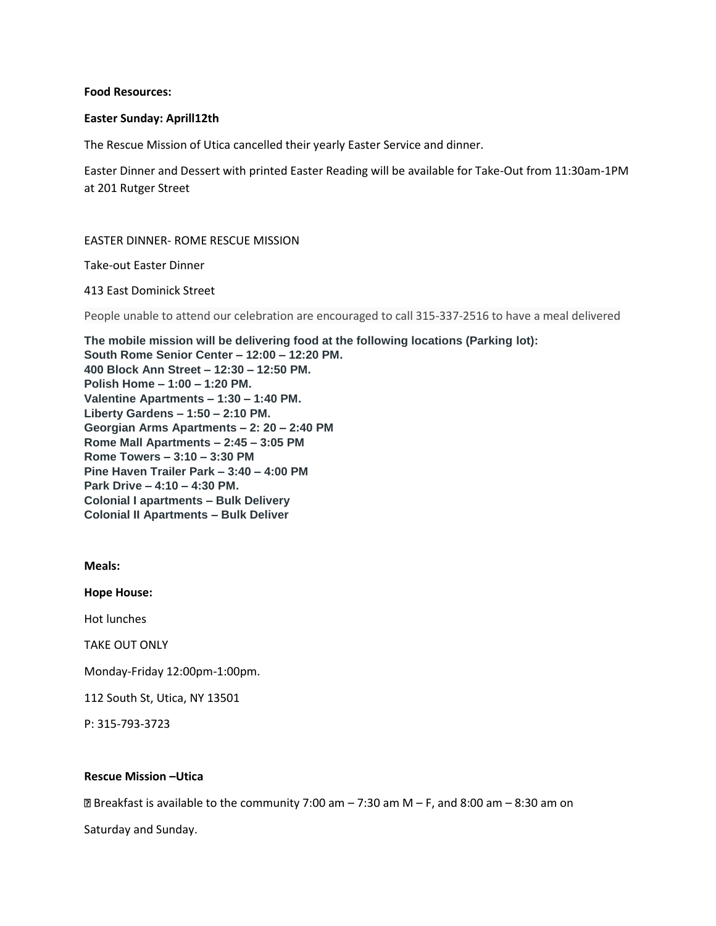### **Food Resources:**

### **Easter Sunday: Aprill12th**

The Rescue Mission of Utica cancelled their yearly Easter Service and dinner.

Easter Dinner and Dessert with printed Easter Reading will be available for Take-Out from 11:30am-1PM at 201 Rutger Street

### EASTER DINNER- ROME RESCUE MISSION

Take-out Easter Dinner

413 East Dominick Street

People unable to attend our celebration are encouraged to call 315-337-2516 to have a meal delivered

**The mobile mission will be delivering food at the following locations (Parking lot): South Rome Senior Center – 12:00 – 12:20 PM. 400 Block Ann Street – 12:30 – 12:50 PM. Polish Home – 1:00 – 1:20 PM. Valentine Apartments – 1:30 – 1:40 PM. Liberty Gardens – 1:50 – 2:10 PM. Georgian Arms Apartments – 2: 20 – 2:40 PM Rome Mall Apartments – 2:45 – 3:05 PM Rome Towers – 3:10 – 3:30 PM Pine Haven Trailer Park – 3:40 – 4:00 PM Park Drive – 4:10 – 4:30 PM. Colonial I apartments – Bulk Delivery Colonial II Apartments – Bulk Deliver**

**Meals:**

**Hope House:** 

Hot lunches

TAKE OUT ONLY

Monday-Friday 12:00pm-1:00pm.

112 South St, Utica, NY 13501

P: 315-793-3723

## **Rescue Mission –Utica**

 $\text{B}$  Breakfast is available to the community 7:00 am – 7:30 am M – F, and 8:00 am – 8:30 am on

Saturday and Sunday.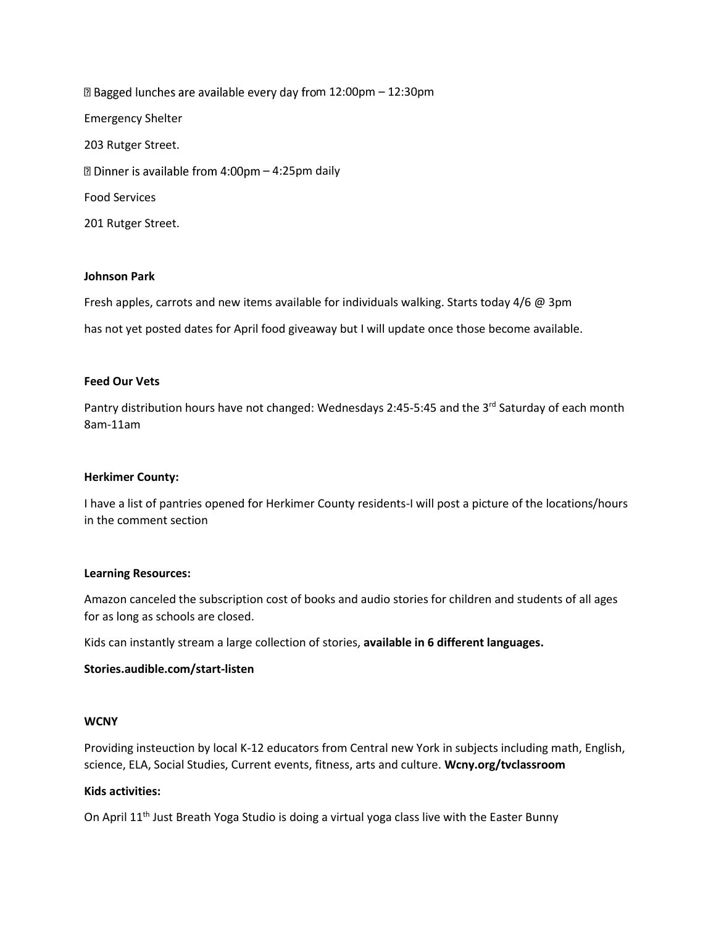⊠ Bagged lunches are available every day from 12:00pm - 12:30pm Emergency Shelter 203 Rutger Street. ⊠ Dinner is available from 4:00pm - 4:25pm daily Food Services 201 Rutger Street.

## **Johnson Park**

Fresh apples, carrots and new items available for individuals walking. Starts today 4/6 @ 3pm has not yet posted dates for April food giveaway but I will update once those become available.

### **Feed Our Vets**

Pantry distribution hours have not changed: Wednesdays 2:45-5:45 and the 3<sup>rd</sup> Saturday of each month 8am-11am

## **Herkimer County:**

I have a list of pantries opened for Herkimer County residents-I will post a picture of the locations/hours in the comment section

#### **Learning Resources:**

Amazon canceled the subscription cost of books and audio stories for children and students of all ages for as long as schools are closed.

Kids can instantly stream a large collection of stories, **available in 6 different languages.** 

## **Stories.audible.com/start-listen**

#### **WCNY**

Providing insteuction by local K-12 educators from Central new York in subjects including math, English, science, ELA, Social Studies, Current events, fitness, arts and culture. **Wcny.org/tvclassroom**

## **Kids activities:**

On April 11<sup>th</sup> Just Breath Yoga Studio is doing a virtual yoga class live with the Easter Bunny